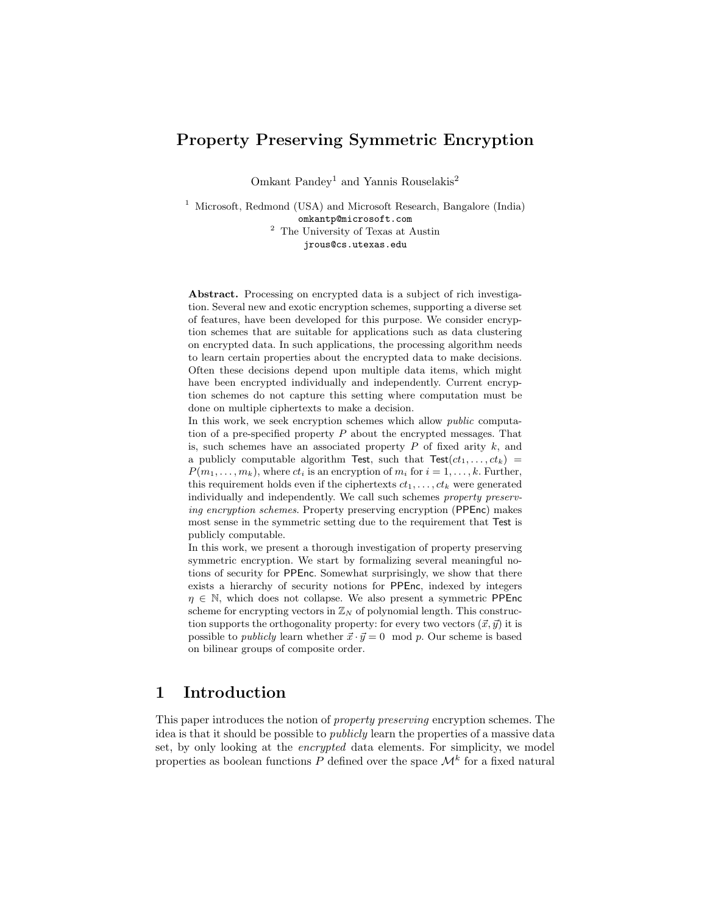## Property Preserving Symmetric Encryption

Omkant Pandey<sup>1</sup> and Yannis Rouselakis<sup>2</sup>

<sup>1</sup> Microsoft, Redmond (USA) and Microsoft Research, Bangalore (India) omkantp@microsoft.com <sup>2</sup> The University of Texas at Austin jrous@cs.utexas.edu

Abstract. Processing on encrypted data is a subject of rich investigation. Several new and exotic encryption schemes, supporting a diverse set of features, have been developed for this purpose. We consider encryption schemes that are suitable for applications such as data clustering on encrypted data. In such applications, the processing algorithm needs to learn certain properties about the encrypted data to make decisions. Often these decisions depend upon multiple data items, which might have been encrypted individually and independently. Current encryption schemes do not capture this setting where computation must be done on multiple ciphertexts to make a decision.

In this work, we seek encryption schemes which allow *public* computation of a pre-specified property  $P$  about the encrypted messages. That is, such schemes have an associated property  $P$  of fixed arity  $k$ , and a publicly computable algorithm Test, such that  $Test(ct_1, \ldots, ct_k)$  =  $P(m_1, \ldots, m_k)$ , where  $ct_i$  is an encryption of  $m_i$  for  $i = 1, \ldots, k$ . Further, this requirement holds even if the ciphertexts  $ct_1, \ldots, ct_k$  were generated individually and independently. We call such schemes property preserving encryption schemes. Property preserving encryption (PPEnc) makes most sense in the symmetric setting due to the requirement that Test is publicly computable.

In this work, we present a thorough investigation of property preserving symmetric encryption. We start by formalizing several meaningful notions of security for PPEnc. Somewhat surprisingly, we show that there exists a hierarchy of security notions for PPEnc, indexed by integers  $\eta \in \mathbb{N}$ , which does not collapse. We also present a symmetric PPEnc scheme for encrypting vectors in  $\mathbb{Z}_N$  of polynomial length. This construction supports the orthogonality property: for every two vectors  $(\vec{x}, \vec{y})$  it is possible to *publicly* learn whether  $\vec{x} \cdot \vec{y} = 0 \mod p$ . Our scheme is based on bilinear groups of composite order.

## 1 Introduction

This paper introduces the notion of property preserving encryption schemes. The idea is that it should be possible to publicly learn the properties of a massive data set, by only looking at the *encrypted* data elements. For simplicity, we model properties as boolean functions P defined over the space  $\mathcal{M}^k$  for a fixed natural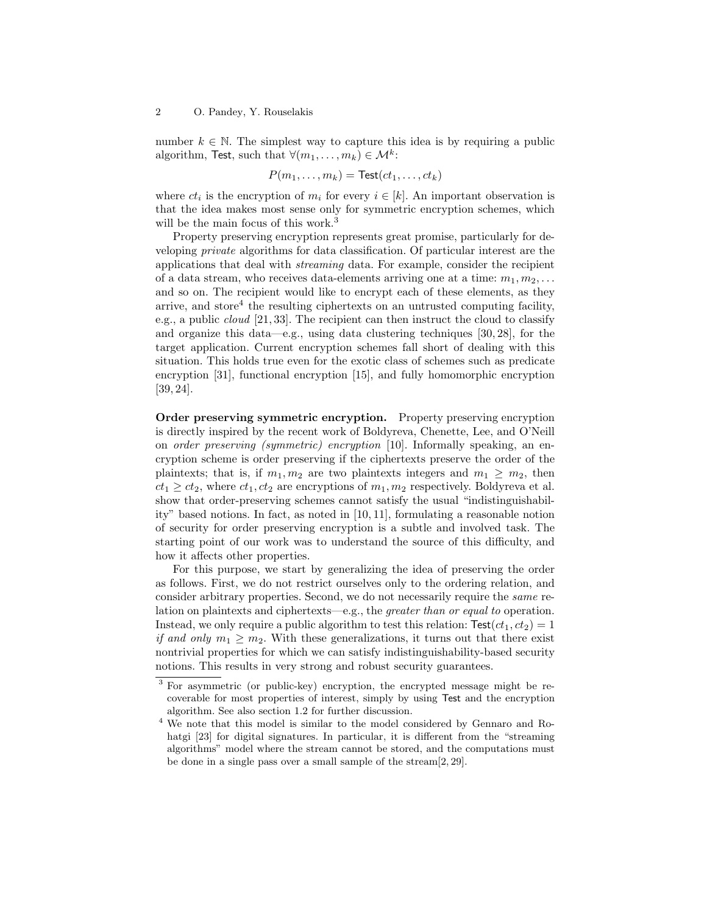number  $k \in \mathbb{N}$ . The simplest way to capture this idea is by requiring a public algorithm, Test, such that  $\forall (m_1, \ldots, m_k) \in \mathcal{M}^k$ :

$$
P(m_1,\ldots,m_k) = \text{Test}(ct_1,\ldots,ct_k)
$$

where  $ct_i$  is the encryption of  $m_i$  for every  $i \in [k]$ . An important observation is that the idea makes most sense only for symmetric encryption schemes, which will be the main focus of this work.<sup>3</sup>

Property preserving encryption represents great promise, particularly for developing private algorithms for data classification. Of particular interest are the applications that deal with streaming data. For example, consider the recipient of a data stream, who receives data-elements arriving one at a time:  $m_1, m_2, \ldots$ and so on. The recipient would like to encrypt each of these elements, as they arrive, and store<sup>4</sup> the resulting ciphertexts on an untrusted computing facility, e.g., a public cloud [21, 33]. The recipient can then instruct the cloud to classify and organize this data—e.g., using data clustering techniques  $[30, 28]$ , for the target application. Current encryption schemes fall short of dealing with this situation. This holds true even for the exotic class of schemes such as predicate encryption [31], functional encryption [15], and fully homomorphic encryption [39, 24].

Order preserving symmetric encryption. Property preserving encryption is directly inspired by the recent work of Boldyreva, Chenette, Lee, and O'Neill on order preserving (symmetric) encryption [10]. Informally speaking, an encryption scheme is order preserving if the ciphertexts preserve the order of the plaintexts; that is, if  $m_1, m_2$  are two plaintexts integers and  $m_1 \geq m_2$ , then  $ct_1 \geq ct_2$ , where  $ct_1, ct_2$  are encryptions of  $m_1, m_2$  respectively. Boldyreva et al. show that order-preserving schemes cannot satisfy the usual "indistinguishability" based notions. In fact, as noted in [10, 11], formulating a reasonable notion of security for order preserving encryption is a subtle and involved task. The starting point of our work was to understand the source of this difficulty, and how it affects other properties.

For this purpose, we start by generalizing the idea of preserving the order as follows. First, we do not restrict ourselves only to the ordering relation, and consider arbitrary properties. Second, we do not necessarily require the same relation on plaintexts and ciphertexts—e.g., the greater than or equal to operation. Instead, we only require a public algorithm to test this relation:  $Test(ct_1, ct_2) = 1$ if and only  $m_1 \geq m_2$ . With these generalizations, it turns out that there exist nontrivial properties for which we can satisfy indistinguishability-based security notions. This results in very strong and robust security guarantees.

<sup>3</sup> For asymmetric (or public-key) encryption, the encrypted message might be recoverable for most properties of interest, simply by using Test and the encryption algorithm. See also section 1.2 for further discussion.

<sup>4</sup> We note that this model is similar to the model considered by Gennaro and Rohatgi [23] for digital signatures. In particular, it is different from the "streaming algorithms" model where the stream cannot be stored, and the computations must be done in a single pass over a small sample of the stream[2, 29].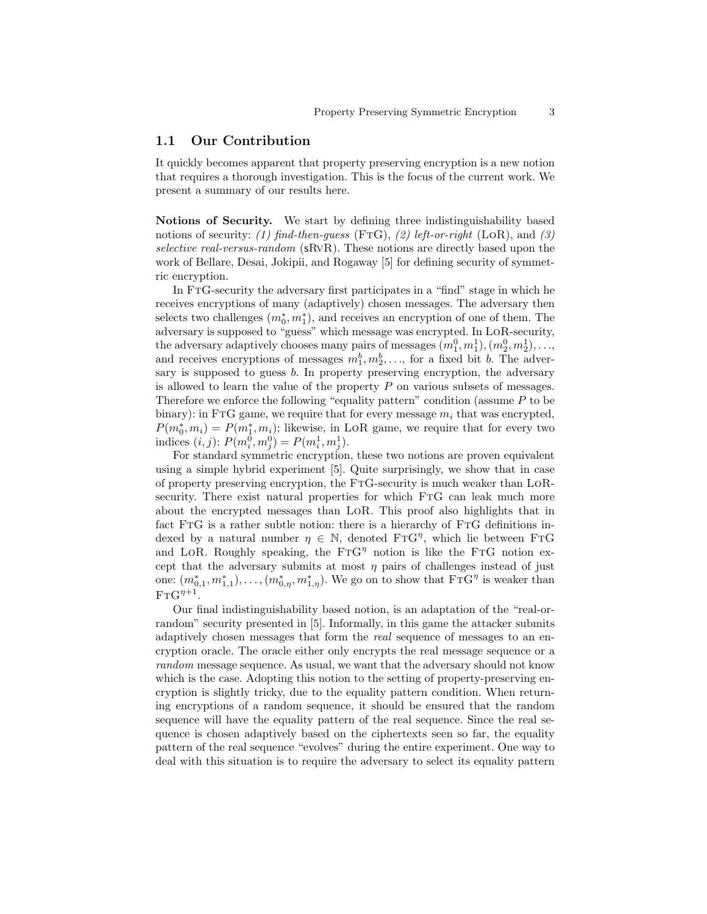#### 1.1 Our Contribution

It quickly becomes apparent that property preserving encryption is a new notion that requires a thorough investigation. This is the focus of the current work. We present a summary of our results here.

Notions of Security. We start by defining three indistinguishability based notions of security: (1) find-then-guess (FTG), (2) left-or-right (LoR), and (3) selective real-versus-random (sRvR). These notions are directly based upon the work of Bellare, Desai, Jokipii, and Rogaway [5] for defining security of symmetric encryption.

In FtG-security the adversary first participates in a "find" stage in which he receives encryptions of many (adaptively) chosen messages. The adversary then selects two challenges  $(m_0^*, m_1^*)$ , and receives an encryption of one of them. The adversary is supposed to "guess" which message was encrypted. In LoR-security, the adversary adaptively chooses many pairs of messages  $(m_1^0, m_1^1), (m_2^0, m_2^1), \ldots$ and receives encryptions of messages  $m_1^b, m_2^b, \ldots$ , for a fixed bit b. The adversary is supposed to guess b. In property preserving encryption, the adversary is allowed to learn the value of the property  $P$  on various subsets of messages. Therefore we enforce the following "equality pattern" condition (assume  $P$  to be binary): in FTG game, we require that for every message  $m_i$  that was encrypted,  $P(m_0^*, m_i) = P(m_1^*, m_i)$ ; likewise, in LoR game, we require that for every two indices  $(i, j)$ :  $P(m_i^0, m_j^0) = P(m_i^1, m_j^1)$ .

For standard symmetric encryption, these two notions are proven equivalent using a simple hybrid experiment [5]. Quite surprisingly, we show that in case of property preserving encryption, the FtG-security is much weaker than LoRsecurity. There exist natural properties for which FtG can leak much more about the encrypted messages than LoR. This proof also highlights that in fact FtG is a rather subtle notion: there is a hierarchy of FtG definitions indexed by a natural number  $\eta \in \mathbb{N}$ , denoted  $\text{FTG}^{\eta}$ , which lie between  $\text{FTG}$ and LOR. Roughly speaking, the  $FTG^{\eta}$  notion is like the FTG notion except that the adversary submits at most  $\eta$  pairs of challenges instead of just one:  $(m_{0,1}^*, m_{1,1}^*), \ldots, (m_{0,\eta}^*, m_{1,\eta}^*)$ . We go on to show that  $\text{FTG}^{\eta}$  is weaker than  $\mathrm{FTG}^{\eta+1}$ .

Our final indistinguishability based notion, is an adaptation of the "real-orrandom" security presented in [5]. Informally, in this game the attacker submits adaptively chosen messages that form the real sequence of messages to an encryption oracle. The oracle either only encrypts the real message sequence or a random message sequence. As usual, we want that the adversary should not know which is the case. Adopting this notion to the setting of property-preserving encryption is slightly tricky, due to the equality pattern condition. When returning encryptions of a random sequence, it should be ensured that the random sequence will have the equality pattern of the real sequence. Since the real sequence is chosen adaptively based on the ciphertexts seen so far, the equality pattern of the real sequence "evolves" during the entire experiment. One way to deal with this situation is to require the adversary to select its equality pattern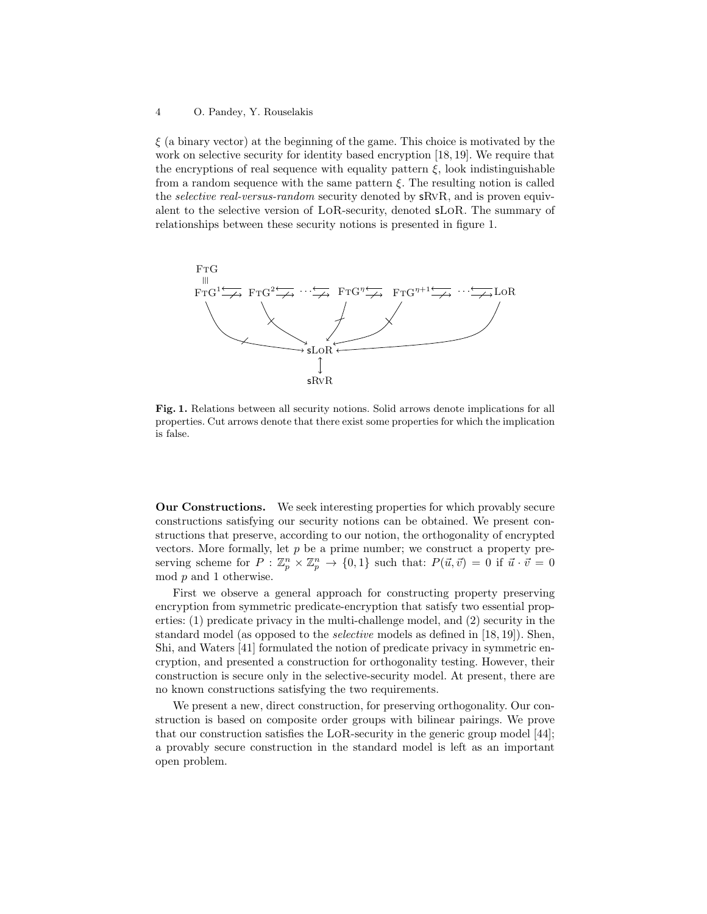$\xi$  (a binary vector) at the beginning of the game. This choice is motivated by the work on selective security for identity based encryption [18, 19]. We require that the encryptions of real sequence with equality pattern  $\xi$ , look indistinguishable from a random sequence with the same pattern  $\xi$ . The resulting notion is called the *selective real-versus-random* security denoted by sRvR, and is proven equivalent to the selective version of LoR-security, denoted sLoR. The summary of relationships between these security notions is presented in figure 1.



Fig. 1. Relations between all security notions. Solid arrows denote implications for all properties. Cut arrows denote that there exist some properties for which the implication is false.

Our Constructions. We seek interesting properties for which provably secure constructions satisfying our security notions can be obtained. We present constructions that preserve, according to our notion, the orthogonality of encrypted vectors. More formally, let  $p$  be a prime number; we construct a property preserving scheme for  $P: \mathbb{Z}_p^n \times \mathbb{Z}_p^n \to \{0,1\}$  such that:  $P(\vec{u}, \vec{v}) = 0$  if  $\vec{u} \cdot \vec{v} = 0$ mod p and 1 otherwise.

First we observe a general approach for constructing property preserving encryption from symmetric predicate-encryption that satisfy two essential properties: (1) predicate privacy in the multi-challenge model, and (2) security in the standard model (as opposed to the selective models as defined in [18, 19]). Shen, Shi, and Waters [41] formulated the notion of predicate privacy in symmetric encryption, and presented a construction for orthogonality testing. However, their construction is secure only in the selective-security model. At present, there are no known constructions satisfying the two requirements.

We present a new, direct construction, for preserving orthogonality. Our construction is based on composite order groups with bilinear pairings. We prove that our construction satisfies the LoR-security in the generic group model [44]; a provably secure construction in the standard model is left as an important open problem.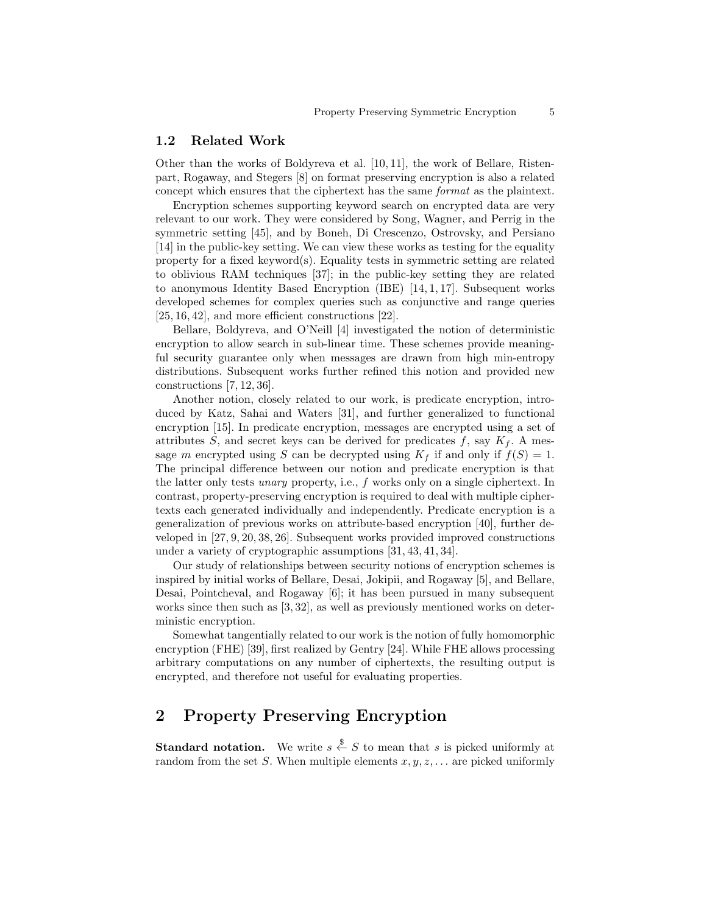#### 1.2 Related Work

Other than the works of Boldyreva et al. [10, 11], the work of Bellare, Ristenpart, Rogaway, and Stegers [8] on format preserving encryption is also a related concept which ensures that the ciphertext has the same *format* as the plaintext.

Encryption schemes supporting keyword search on encrypted data are very relevant to our work. They were considered by Song, Wagner, and Perrig in the symmetric setting [45], and by Boneh, Di Crescenzo, Ostrovsky, and Persiano [14] in the public-key setting. We can view these works as testing for the equality property for a fixed keyword(s). Equality tests in symmetric setting are related to oblivious RAM techniques [37]; in the public-key setting they are related to anonymous Identity Based Encryption  $(IBE)$  [14, 1, 17]. Subsequent works developed schemes for complex queries such as conjunctive and range queries [25, 16, 42], and more efficient constructions [22].

Bellare, Boldyreva, and O'Neill [4] investigated the notion of deterministic encryption to allow search in sub-linear time. These schemes provide meaningful security guarantee only when messages are drawn from high min-entropy distributions. Subsequent works further refined this notion and provided new constructions [7, 12, 36].

Another notion, closely related to our work, is predicate encryption, introduced by Katz, Sahai and Waters [31], and further generalized to functional encryption [15]. In predicate encryption, messages are encrypted using a set of attributes S, and secret keys can be derived for predicates  $f$ , say  $K_f$ . A message m encrypted using S can be decrypted using  $K_f$  if and only if  $f(S) = 1$ . The principal difference between our notion and predicate encryption is that the latter only tests unary property, i.e., f works only on a single ciphertext. In contrast, property-preserving encryption is required to deal with multiple ciphertexts each generated individually and independently. Predicate encryption is a generalization of previous works on attribute-based encryption [40], further developed in [27, 9, 20, 38, 26]. Subsequent works provided improved constructions under a variety of cryptographic assumptions [31, 43, 41, 34].

Our study of relationships between security notions of encryption schemes is inspired by initial works of Bellare, Desai, Jokipii, and Rogaway [5], and Bellare, Desai, Pointcheval, and Rogaway [6]; it has been pursued in many subsequent works since then such as [3, 32], as well as previously mentioned works on deterministic encryption.

Somewhat tangentially related to our work is the notion of fully homomorphic encryption (FHE) [39], first realized by Gentry [24]. While FHE allows processing arbitrary computations on any number of ciphertexts, the resulting output is encrypted, and therefore not useful for evaluating properties.

## 2 Property Preserving Encryption

**Standard notation.** We write  $s \stackrel{\$}{\leftarrow} S$  to mean that s is picked uniformly at random from the set S. When multiple elements  $x, y, z, \ldots$  are picked uniformly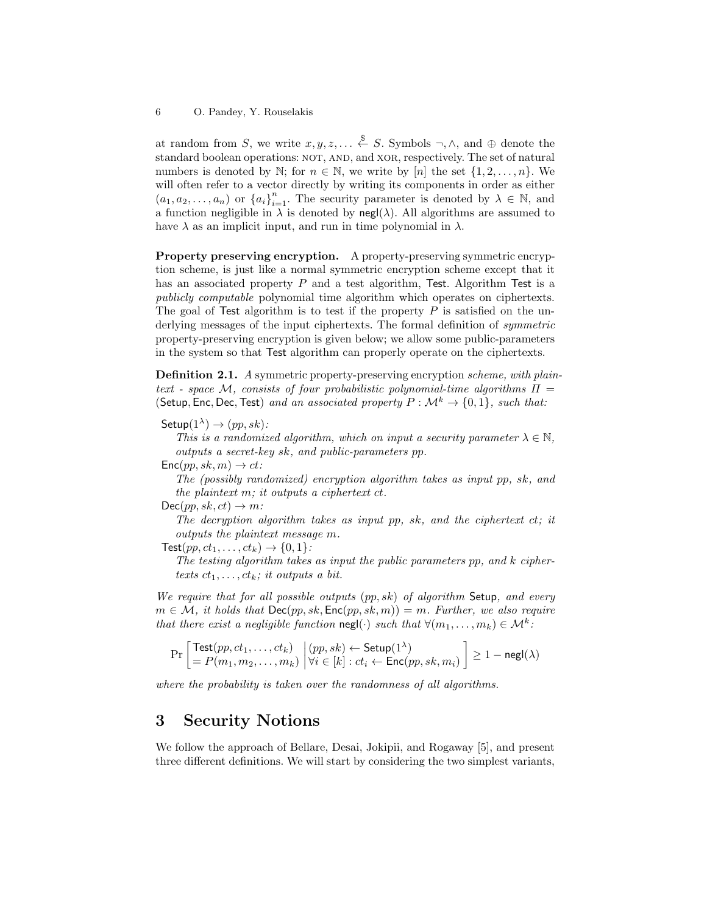at random from S, we write  $x, y, z, \ldots \stackrel{\$}{\leftarrow} S$ . Symbols  $\neg, \wedge$ , and  $\oplus$  denote the standard boolean operations: NOT, AND, and XOR, respectively. The set of natural numbers is denoted by N; for  $n \in \mathbb{N}$ , we write by [n] the set  $\{1, 2, \ldots, n\}$ . We will often refer to a vector directly by writing its components in order as either  $(a_1, a_2, \ldots, a_n)$  or  $\{a_i\}_{i=1}^n$ . The security parameter is denoted by  $\lambda \in \mathbb{N}$ , and a function negligible in  $\lambda$  is denoted by negl( $\lambda$ ). All algorithms are assumed to have  $\lambda$  as an implicit input, and run in time polynomial in  $\lambda$ .

Property preserving encryption. A property-preserving symmetric encryption scheme, is just like a normal symmetric encryption scheme except that it has an associated property P and a test algorithm, Test. Algorithm Test is a publicly computable polynomial time algorithm which operates on ciphertexts. The goal of Test algorithm is to test if the property  $P$  is satisfied on the underlying messages of the input ciphertexts. The formal definition of symmetric property-preserving encryption is given below; we allow some public-parameters in the system so that Test algorithm can properly operate on the ciphertexts.

Definition 2.1. A symmetric property-preserving encryption scheme, with plaintext - space M, consists of four probabilistic polynomial-time algorithms  $\Pi$  = (Setup, Enc, Dec, Test) and an associated property  $P : \mathcal{M}^k \to \{0, 1\}$ , such that:

 $\mathsf{Setup}(1^\lambda)\to (pp,sk)$ :

This is a randomized algorithm, which on input a security parameter  $\lambda \in \mathbb{N}$ , outputs a secret-key sk, and public-parameters pp.

 $Enc(pp, sk, m) \rightarrow ct$ :

The (possibly randomized) encryption algorithm takes as input pp, sk, and the plaintext m; it outputs a ciphertext ct.

 $Dec(pp, sk, ct) \rightarrow m$ :

The decryption algorithm takes as input pp, sk, and the ciphertext  $ct$ ; it outputs the plaintext message m.

 $\textsf{Test}(pp, ct_1, \ldots, ct_k) \rightarrow \{0, 1\}$ :

The testing algorithm takes as input the public parameters pp, and k ciphertexts  $ct_1, \ldots, ct_k$ ; it outputs a bit.

We require that for all possible outputs  $(pp, sk)$  of algorithm Setup, and every  $m \in \mathcal{M}$ , it holds that  $\mathsf{Dec}(pp, sk, \mathsf{Enc}(pp, sk, m)) = m$ . Further, we also require that there exist a negligible function  $\text{negl}(\cdot)$  such that  $\forall (m_1, \ldots, m_k) \in \mathcal{M}^k$ .

$$
\Pr\left[\begin{matrix} \textsf{Test}(pp, ct_1, \dots, ct_k) \\ = P(m_1, m_2, \dots, m_k) \end{matrix} \middle| \begin{matrix} (pp, sk) \leftarrow \textsf{Setup}(1^{\lambda}) \\ \forall i \in [k] : ct_i \leftarrow \textsf{Enc}(pp, sk, m_i) \end{matrix} \right] \ge 1 - \textsf{negl}(\lambda)
$$

where the probability is taken over the randomness of all algorithms.

### 3 Security Notions

We follow the approach of Bellare, Desai, Jokipii, and Rogaway [5], and present three different definitions. We will start by considering the two simplest variants,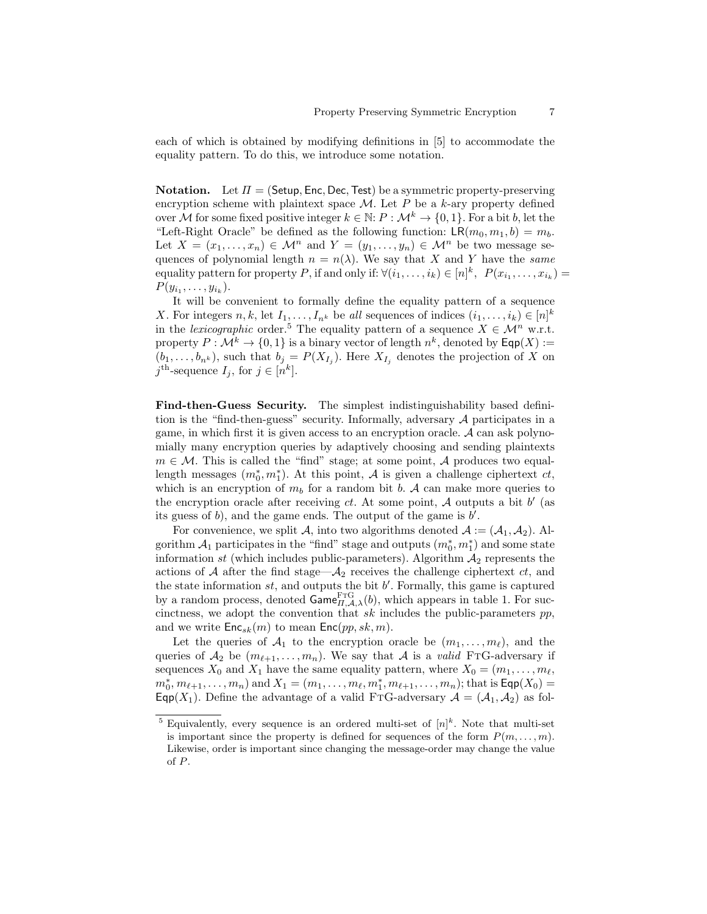each of which is obtained by modifying definitions in [5] to accommodate the equality pattern. To do this, we introduce some notation.

**Notation.** Let  $\Pi = (\mathsf{Setup}, \mathsf{Enc}, \mathsf{Dec}, \mathsf{Test})$  be a symmetric property-preserving encryption scheme with plaintext space  $\mathcal{M}$ . Let P be a k-ary property defined over M for some fixed positive integer  $k \in \mathbb{N}$ :  $P : \mathcal{M}^k \to \{0, 1\}$ . For a bit b, let the "Left-Right Oracle" be defined as the following function:  $LR(m_0, m_1, b) = m_b$ . Let  $X = (x_1, \ldots, x_n) \in \mathcal{M}^n$  and  $Y = (y_1, \ldots, y_n) \in \mathcal{M}^n$  be two message sequences of polynomial length  $n = n(\lambda)$ . We say that X and Y have the same equality pattern for property P, if and only if:  $\forall (i_1, \ldots, i_k) \in [n]^k$ ,  $P(x_{i_1}, \ldots, x_{i_k}) =$  $P(y_{i_1}, \ldots, y_{i_k}).$ 

It will be convenient to formally define the equality pattern of a sequence X. For integers  $n, k$ , let  $I_1, \ldots, I_{n^k}$  be all sequences of indices  $(i_1, \ldots, i_k) \in [n]^k$ in the *lexicographic* order.<sup>5</sup> The equality pattern of a sequence  $X \in \mathcal{M}^n$  w.r.t. property  $P: \mathcal{M}^k \to \{0,1\}$  is a binary vector of length  $n^k$ , denoted by  $\mathsf{Eqp}(X) :=$  $(b_1, \ldots, b_{n^k})$ , such that  $b_j = P(X_{I_j})$ . Here  $X_{I_j}$  denotes the projection of X on  $j^{\text{th}}$ -sequence  $I_j$ , for  $j \in [n^k]$ .

Find-then-Guess Security. The simplest indistinguishability based definition is the "find-then-guess" security. Informally, adversary A participates in a game, in which first it is given access to an encryption oracle. A can ask polynomially many encryption queries by adaptively choosing and sending plaintexts  $m \in \mathcal{M}$ . This is called the "find" stage; at some point, A produces two equallength messages  $(m_0^*, m_1^*)$ . At this point, A is given a challenge ciphertext  $ct$ , which is an encryption of  $m_b$  for a random bit b. A can make more queries to the encryption oracle after receiving  $ct$ . At some point,  $A$  outputs a bit  $b'$  (as its guess of  $b$ ), and the game ends. The output of the game is  $b'$ .

For convenience, we split A, into two algorithms denoted  $A := (A_1, A_2)$ . Algorithm  $\mathcal{A}_1$  participates in the "find" stage and outputs  $(m_0^*, m_1^*)$  and some state information st (which includes public-parameters). Algorithm  $A_2$  represents the actions of  $A$  after the find stage— $A_2$  receives the challenge ciphertext  $ct$ , and the state information  $st$ , and outputs the bit  $b'$ . Formally, this game is captured by a random process, denoted  $\mathsf{Game}_{H,\mathcal{A},\lambda}^{\text{FTG}}(b)$ , which appears in table 1. For succinctness, we adopt the convention that  $sk$  includes the public-parameters  $pp$ , and we write  $\mathsf{Enc}_{sk}(m)$  to mean  $\mathsf{Enc}(pp, sk, m)$ .

Let the queries of  $A_1$  to the encryption oracle be  $(m_1, \ldots, m_\ell)$ , and the queries of  $\mathcal{A}_2$  be  $(m_{\ell+1}, \ldots, m_n)$ . We say that A is a valid FTG-adversary if sequences  $X_0$  and  $X_1$  have the same equality pattern, where  $X_0 = (m_1, \ldots, m_\ell,$  $m_0^*, m_{\ell+1}, \ldots, m_n$  and  $X_1 = (m_1, \ldots, m_{\ell}, m_1^*, m_{\ell+1}, \ldots, m_n)$ ; that is  $\textsf{Eqp}(X_0) =$ Eqp(X<sub>1</sub>). Define the advantage of a valid FTG-adversary  $A = (A_1, A_2)$  as fol-

<sup>&</sup>lt;sup>5</sup> Equivalently, every sequence is an ordered multi-set of  $[n]^k$ . Note that multi-set is important since the property is defined for sequences of the form  $P(m, \ldots, m)$ . Likewise, order is important since changing the message-order may change the value of P.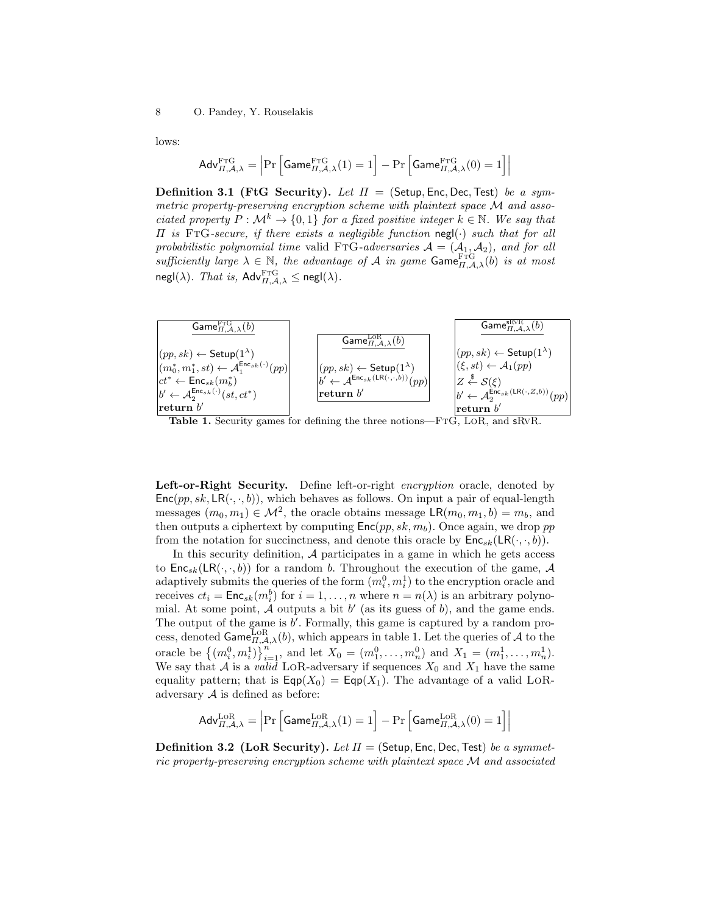lows:

$$
\mathsf{Adv}_{\Pi,\mathcal{A},\lambda}^{\mathrm{FTG}} = \left| \Pr \left[ \mathsf{Game}_{\Pi,\mathcal{A},\lambda}^{\mathrm{FTG}}(1) = 1 \right] - \Pr \left[ \mathsf{Game}_{\Pi,\mathcal{A},\lambda}^{\mathrm{FTG}}(0) = 1 \right] \right|
$$

**Definition 3.1 (FtG Security).** Let  $\Pi =$  (Setup, Enc, Dec, Test) be a symmetric property-preserving encryption scheme with plaintext space M and associated property  $P : \mathcal{M}^k \to \{0,1\}$  for a fixed positive integer  $k \in \mathbb{N}$ . We say that  $\Pi$  is FTG-secure, if there exists a negligible function negl( $\cdot$ ) such that for all probabilistic polynomial time valid FTG-adversaries  $A = (A_1, A_2)$ , and for all sufficiently large  $\lambda \in \mathbb{N}$ , the advantage of A in game  $\text{Game}_{\Pi,A,\lambda}^{\text{FTG}}(b)$  is at most  $\mathsf{negl}(\lambda)$ . That is,  $\mathsf{Adv}_{\Pi,\mathcal{A},\lambda}^{\text{FTG}} \le \mathsf{negl}(\lambda)$ .



Table 1. Security games for defining the three notions—FTG, LOR, and sRVR.

Left-or-Right Security. Define left-or-right encryption oracle, denoted by  $Enc(pp, sk, LR(\cdot, \cdot, b))$ , which behaves as follows. On input a pair of equal-length messages  $(m_0, m_1) \in \mathcal{M}^2$ , the oracle obtains message  $\mathsf{LR}(m_0, m_1, b) = m_b$ , and then outputs a ciphertext by computing  $Enc(pp, sk, m_b)$ . Once again, we drop pp from the notation for succinctness, and denote this oracle by  $Enc_{sk}(LR(\cdot, \cdot, b)).$ 

In this security definition,  $A$  participates in a game in which he gets access to  $\mathsf{Enc}_{sk}(\mathsf{LR}(\cdot,\cdot,b))$  for a random b. Throughout the execution of the game, A adaptively submits the queries of the form  $(m_i^0, m_i^1)$  to the encryption oracle and receives  $ct_i = \textsf{Enc}_{sk}(m_i^b)$  for  $i = 1, ..., n$  where  $n = n(\lambda)$  is an arbitrary polynomial. At some point,  $\tilde{\mathcal{A}}$  outputs a bit  $b'$  (as its guess of b), and the game ends. The output of the game is  $b'$ . Formally, this game is captured by a random process, denoted  $\mathsf{Game}_{\Pi,\mathcal{A},\lambda}^{\text{LoR}}(b)$ , which appears in table 1. Let the queries of A to the oracle be  $\{(m_i^0, m_i^1)\}_{i=1}^n$ , and let  $X_0 = (m_1^0, \ldots, m_n^0)$  and  $X_1 = (m_1^1, \ldots, m_n^1)$ . We say that A is a valid LOR-adversary if sequences  $X_0$  and  $X_1$  have the same equality pattern; that is  $\textsf{Eqp}(X_0) = \textsf{Eqp}(X_1)$ . The advantage of a valid LoRadversary  $A$  is defined as before:

$$
Adv_{\Pi,\mathcal{A},\lambda}^{\text{LOR}} = \left| \Pr \left[ \mathsf{Game}_{\Pi,\mathcal{A},\lambda}^{\text{LOR}}(1) = 1 \right] - \Pr \left[ \mathsf{Game}_{\Pi,\mathcal{A},\lambda}^{\text{LOR}}(0) = 1 \right] \right|
$$

**Definition 3.2 (LoR Security).** Let  $\Pi$  = (Setup, Enc, Dec, Test) be a symmetric property-preserving encryption scheme with plaintext space M and associated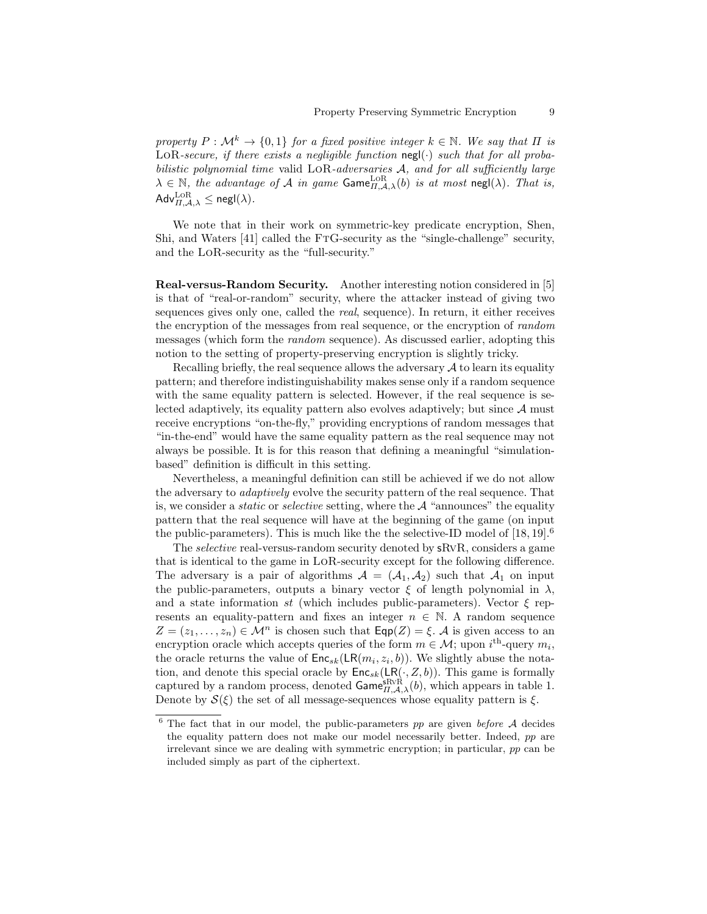property  $P : \mathcal{M}^k \to \{0,1\}$  for a fixed positive integer  $k \in \mathbb{N}$ . We say that  $\Pi$  is LOR-secure, if there exists a negligible function  $\operatorname{negl}(\cdot)$  such that for all probabilistic polynomial time valid LOR-adversaries A, and for all sufficiently large  $\lambda \in \mathbb{N}$ , the advantage of A in game  $\textsf{Game}_{H,\mathcal{A},\lambda}^{\textsf{LoR}}(b)$  is at most  $\textsf{negl}(\lambda)$ . That is,  $\mathsf{Adv}_{\Pi,\mathcal{A},\lambda}^{\mathrm{LoR}} \le \mathsf{negl}(\lambda).$ 

We note that in their work on symmetric-key predicate encryption, Shen, Shi, and Waters [41] called the FtG-security as the "single-challenge" security, and the LoR-security as the "full-security."

Real-versus-Random Security. Another interesting notion considered in [5] is that of "real-or-random" security, where the attacker instead of giving two sequences gives only one, called the real, sequence). In return, it either receives the encryption of the messages from real sequence, or the encryption of random messages (which form the random sequence). As discussed earlier, adopting this notion to the setting of property-preserving encryption is slightly tricky.

Recalling briefly, the real sequence allows the adversary  $A$  to learn its equality pattern; and therefore indistinguishability makes sense only if a random sequence with the same equality pattern is selected. However, if the real sequence is selected adaptively, its equality pattern also evolves adaptively; but since  $A$  must receive encryptions "on-the-fly," providing encryptions of random messages that "in-the-end" would have the same equality pattern as the real sequence may not always be possible. It is for this reason that defining a meaningful "simulationbased" definition is difficult in this setting.

Nevertheless, a meaningful definition can still be achieved if we do not allow the adversary to adaptively evolve the security pattern of the real sequence. That is, we consider a *static* or *selective* setting, where the  $A$  "announces" the equality pattern that the real sequence will have at the beginning of the game (on input the public-parameters). This is much like the selective-ID model of  $[18, 19]$ <sup>6</sup>

The *selective* real-versus-random security denoted by **s**RvR, considers a game that is identical to the game in LoR-security except for the following difference. The adversary is a pair of algorithms  $A = (A_1, A_2)$  such that  $A_1$  on input the public-parameters, outputs a binary vector  $\xi$  of length polynomial in  $\lambda$ , and a state information st (which includes public-parameters). Vector  $\xi$  represents an equality-pattern and fixes an integer  $n \in \mathbb{N}$ . A random sequence  $Z = (z_1, \ldots, z_n) \in \mathcal{M}^n$  is chosen such that  $\textsf{Eqp}(Z) = \xi$ . A is given access to an encryption oracle which accepts queries of the form  $m \in \mathcal{M}$ ; upon  $i^{\text{th}}$ -query  $m_i$ , the oracle returns the value of  $Enc_{sk}(LR(m_i, z_i, b))$ . We slightly abuse the notation, and denote this special oracle by  $\mathsf{Enc}_{sk}(\mathsf{LR}(\cdot, Z, b))$ . This game is formally captured by a random process, denoted  $\mathsf{Game}_{H,\mathcal{A},\lambda}^{\text{SRVR}}(b)$ , which appears in table 1. Denote by  $\mathcal{S}(\xi)$  the set of all message-sequences whose equality pattern is  $\xi$ .

 $6$  The fact that in our model, the public-parameters pp are given before A decides the equality pattern does not make our model necessarily better. Indeed, pp are irrelevant since we are dealing with symmetric encryption; in particular, pp can be included simply as part of the ciphertext.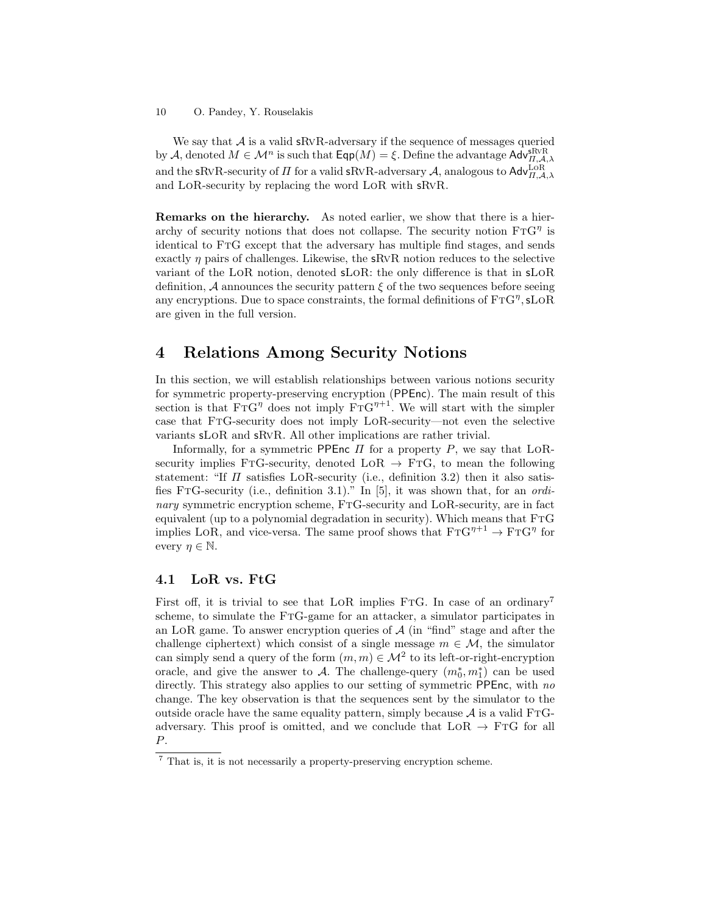We say that  $A$  is a valid sRvR-adversary if the sequence of messages queried by A, denoted  $M \in \mathcal{M}^n$  is such that  $\textsf{Eqp}(M) = \xi$ . Define the advantage  $\textsf{Adv}_{\Pi,\mathcal{A},\lambda}^{\textsf{SRVR}}$ and the sRvR-security of  $\Pi$  for a valid sRvR-adversary  $\mathcal{A}$ , analogous to  $\mathsf{Adv}_{\Pi,\mathcal{A},\lambda}^{\text{LoR}}$ and LoR-security by replacing the word LoR with sRvR.

Remarks on the hierarchy. As noted earlier, we show that there is a hierarchy of security notions that does not collapse. The security notion  $\text{FTG}^{\eta}$  is identical to FtG except that the adversary has multiple find stages, and sends exactly  $\eta$  pairs of challenges. Likewise, the sRvR notion reduces to the selective variant of the LoR notion, denoted sLoR: the only difference is that in sLoR definition,  $\mathcal A$  announces the security pattern  $\xi$  of the two sequences before seeing any encryptions. Due to space constraints, the formal definitions of  $\text{FTG}^{\eta}, \text{sLoR}$ are given in the full version.

## 4 Relations Among Security Notions

In this section, we will establish relationships between various notions security for symmetric property-preserving encryption (PPEnc). The main result of this section is that  $\text{FTG}^{\eta}$  does not imply  $\text{FTG}^{\eta+1}$ . We will start with the simpler case that FtG-security does not imply LoR-security—not even the selective variants sLoR and sRvR. All other implications are rather trivial.

Informally, for a symmetric PPEnc  $\Pi$  for a property  $P$ , we say that LoRsecurity implies FTG-security, denoted  $LOR \rightarrow FTG$ , to mean the following statement: "If  $\Pi$  satisfies LOR-security (i.e., definition 3.2) then it also satisfies FtG-security (i.e., definition 3.1)." In [5], it was shown that, for an ordinary symmetric encryption scheme, FtG-security and LoR-security, are in fact equivalent (up to a polynomial degradation in security). Which means that FTG implies LoR, and vice-versa. The same proof shows that  $\text{FTG}^{\eta+1} \to \text{FTG}^{\eta}$  for every  $\eta \in \mathbb{N}$ .

### 4.1 LoR vs. FtG

First off, it is trivial to see that LoR implies FTG. In case of an ordinary<sup>7</sup> scheme, to simulate the FTG-game for an attacker, a simulator participates in an LOR game. To answer encryption queries of  $A$  (in "find" stage and after the challenge ciphertext) which consist of a single message  $m \in \mathcal{M}$ , the simulator can simply send a query of the form  $(m, m) \in M^2$  to its left-or-right-encryption oracle, and give the answer to A. The challenge-query  $(m_0^*, m_1^*)$  can be used directly. This strategy also applies to our setting of symmetric PPEnc, with no change. The key observation is that the sequences sent by the simulator to the outside oracle have the same equality pattern, simply because  $\mathcal A$  is a valid FTGadversary. This proof is omitted, and we conclude that  $LOR \rightarrow FTG$  for all P.

<sup>7</sup> That is, it is not necessarily a property-preserving encryption scheme.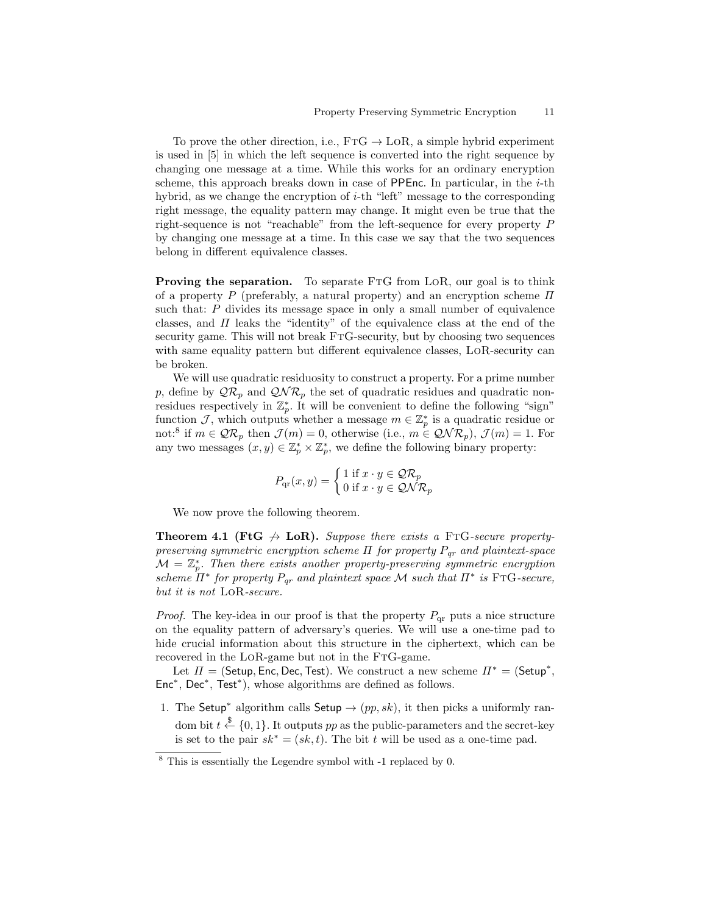To prove the other direction, i.e.,  $FTG \rightarrow \text{LoR}$ , a simple hybrid experiment is used in [5] in which the left sequence is converted into the right sequence by changing one message at a time. While this works for an ordinary encryption scheme, this approach breaks down in case of PPEnc. In particular, in the  $i$ -th hybrid, as we change the encryption of  $i$ -th "left" message to the corresponding right message, the equality pattern may change. It might even be true that the right-sequence is not "reachable" from the left-sequence for every property P by changing one message at a time. In this case we say that the two sequences belong in different equivalence classes.

**Proving the separation.** To separate FTG from LoR, our goal is to think of a property P (preferably, a natural property) and an encryption scheme  $\Pi$ such that: P divides its message space in only a small number of equivalence classes, and  $\Pi$  leaks the "identity" of the equivalence class at the end of the security game. This will not break FTG-security, but by choosing two sequences with same equality pattern but different equivalence classes, LoR-security can be broken.

We will use quadratic residuosity to construct a property. For a prime number p, define by  $\mathcal{QR}_p$  and  $\mathcal{QNR}_p$  the set of quadratic residues and quadratic nonresidues respectively in  $\mathbb{Z}_p^*$ . It will be convenient to define the following "sign" function J, which outputs whether a message  $m \in \mathbb{Z}_p^*$  is a quadratic residue or not:<sup>8</sup> if  $m \in \mathcal{QR}_p$  then  $\mathcal{J}(m) = 0$ , otherwise (i.e.,  $m \in \mathcal{QNR}_p$ ),  $\mathcal{J}(m) = 1$ . For any two messages  $(x, y) \in \mathbb{Z}_p^* \times \mathbb{Z}_p^*$ , we define the following binary property:

$$
P_{\text{qr}}(x, y) = \begin{cases} 1 \text{ if } x \cdot y \in \mathcal{QR}_p \\ 0 \text{ if } x \cdot y \in \mathcal{QNR}_p \end{cases}
$$

We now prove the following theorem.

**Theorem 4.1 (FtG**  $\leftrightarrow$  LoR). Suppose there exists a FTG-secure propertypreserving symmetric encryption scheme  $\Pi$  for property  $P_{qr}$  and plaintext-space  $\mathcal{M} = \mathbb{Z}_p^*$ . Then there exists another property-preserving symmetric encryption scheme  $H^*$  for property  $P_{qr}$  and plaintext space M such that  $H^*$  is FTG-secure, but it is not LoR-secure.

*Proof.* The key-idea in our proof is that the property  $P_{qr}$  puts a nice structure on the equality pattern of adversary's queries. We will use a one-time pad to hide crucial information about this structure in the ciphertext, which can be recovered in the LOR-game but not in the FTG-game.

Let  $\Pi = ($ Setup, Enc, Dec, Test). We construct a new scheme  $\Pi^* = ($ Setup<sup>\*</sup>, Enc<sup>∗</sup> , Dec<sup>∗</sup> , Test<sup>∗</sup> ), whose algorithms are defined as follows.

1. The Setup<sup>\*</sup> algorithm calls Setup  $\rightarrow (pp, sk)$ , it then picks a uniformly random bit  $t \stackrel{\$}{\leftarrow} \{0,1\}$ . It outputs pp as the public-parameters and the secret-key is set to the pair  $sk^* = (sk, t)$ . The bit t will be used as a one-time pad.

<sup>8</sup> This is essentially the Legendre symbol with -1 replaced by 0.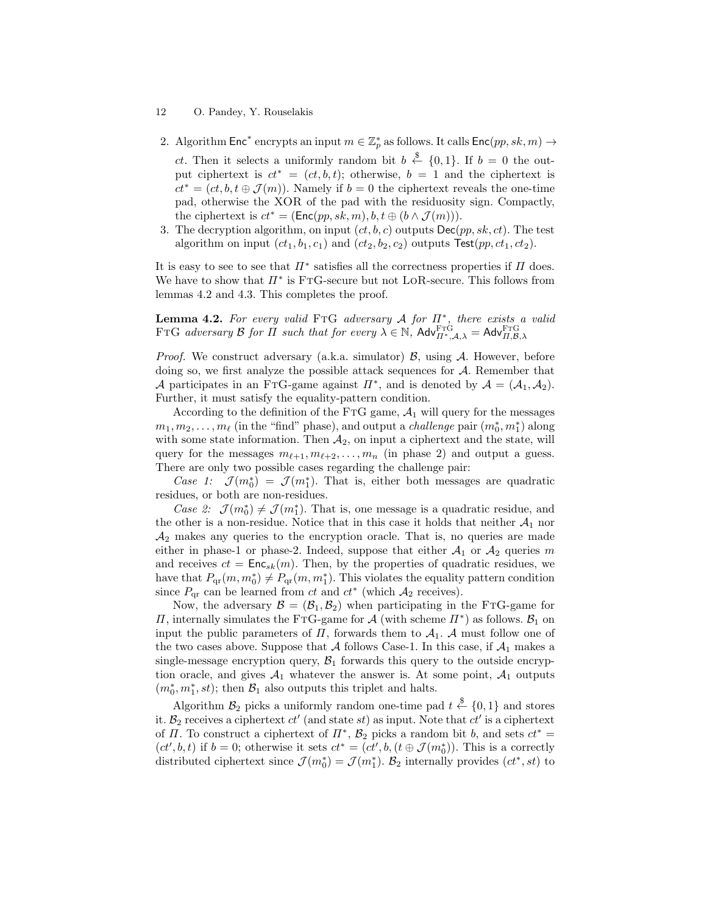2. Algorithm  $\mathsf{Enc}^*$  encrypts an input  $m \in \mathbb{Z}_p^*$  as follows. It calls  $\mathsf{Enc}(pp, sk, m) \to$ 

*ct*. Then it selects a uniformly random bit  $b \leftarrow \{0, 1\}$ . If  $b = 0$  the output ciphertext is  $ct^* = (ct, b, t)$ ; otherwise,  $b = 1$  and the ciphertext is  $ct^* = (ct, b, t \oplus \mathcal{J}(m))$ . Namely if  $b = 0$  the ciphertext reveals the one-time pad, otherwise the XOR of the pad with the residuosity sign. Compactly, the ciphertext is  $ct^* = (\text{Enc}(pp, sk, m), b, t \oplus (b \wedge \mathcal{J}(m)))$ .

3. The decryption algorithm, on input  $(ct, b, c)$  outputs  $\textsf{Dec}(pp, sk, ct)$ . The test algorithm on input  $(ct_1, b_1, c_1)$  and  $(ct_2, b_2, c_2)$  outputs  $Test(pp, ct_1, ct_2)$ .

It is easy to see to see that  $\Pi^*$  satisfies all the correctness properties if  $\Pi$  does. We have to show that  $\Pi^*$  is FTG-secure but not LoR-secure. This follows from lemmas 4.2 and 4.3. This completes the proof.

**Lemma 4.2.** For every valid FTG adversary A for  $\Pi^*$ , there exists a valid FTG adversary B for  $\Pi$  such that for every  $\lambda \in \mathbb{N}$ ,  $\mathsf{Adv}_{\Pi^*,\mathcal{A},\lambda}^{\text{FTG}} = \mathsf{Adv}_{\Pi,\mathcal{B},\lambda}^{\text{FTG}}$ 

*Proof.* We construct adversary (a.k.a. simulator)  $\beta$ , using  $\mathcal{A}$ . However, before doing so, we first analyze the possible attack sequences for A. Remember that A participates in an FTG-game against  $\Pi^*$ , and is denoted by  $\mathcal{A} = (\mathcal{A}_1, \mathcal{A}_2)$ . Further, it must satisfy the equality-pattern condition.

According to the definition of the FTG game,  $A_1$  will query for the messages  $m_1, m_2, \ldots, m_\ell$  (in the "find" phase), and output a *challenge* pair  $(m_0^*, m_1^*)$  along with some state information. Then  $A_2$ , on input a ciphertext and the state, will query for the messages  $m_{\ell+1}, m_{\ell+2}, \ldots, m_n$  (in phase 2) and output a guess. There are only two possible cases regarding the challenge pair:

Case 1:  $\mathcal{J}(m_0^*) = \mathcal{J}(m_1^*)$ . That is, either both messages are quadratic residues, or both are non-residues.

Case 2:  $\mathcal{J}(m_0^*) \neq \mathcal{J}(m_1^*)$ . That is, one message is a quadratic residue, and the other is a non-residue. Notice that in this case it holds that neither  $A_1$  nor  $\mathcal{A}_2$  makes any queries to the encryption oracle. That is, no queries are made either in phase-1 or phase-2. Indeed, suppose that either  $A_1$  or  $A_2$  queries m and receives  $ct = \text{Enc}_{sk}(m)$ . Then, by the properties of quadratic residues, we have that  $P_{\text{qr}}(m, m_0^*) \neq P_{\text{qr}}(m, m_1^*)$ . This violates the equality pattern condition since  $P_{qr}$  can be learned from ct and  $ct^*$  (which  $\mathcal{A}_2$  receives).

Now, the adversary  $\mathcal{B} = (\mathcal{B}_1, \mathcal{B}_2)$  when participating in the FTG-game for  $\Pi$ , internally simulates the FTG-game for  $\mathcal{A}$  (with scheme  $\Pi^*$ ) as follows.  $\mathcal{B}_1$  on input the public parameters of  $\Pi$ , forwards them to  $\mathcal{A}_1$ . A must follow one of the two cases above. Suppose that  $A$  follows Case-1. In this case, if  $A_1$  makes a single-message encryption query,  $\mathcal{B}_1$  forwards this query to the outside encryption oracle, and gives  $A_1$  whatever the answer is. At some point,  $A_1$  outputs  $(m_0^*, m_1^*, st)$ ; then  $\mathcal{B}_1$  also outputs this triplet and halts.

Algorithm  $\mathcal{B}_2$  picks a uniformly random one-time pad  $t \stackrel{\$}{\leftarrow} \{0,1\}$  and stores it.  $B_2$  receives a ciphertext  $ct'$  (and state  $st$ ) as input. Note that  $ct'$  is a ciphertext of  $\Pi$ . To construct a ciphertext of  $\Pi^*$ ,  $\mathcal{B}_2$  picks a random bit b, and sets  $ct^* =$  $(ct', b, t)$  if  $b = 0$ ; otherwise it sets  $ct^* = (ct', b, (t \oplus \mathcal{J}(m_0^*))$ . This is a correctly distributed ciphertext since  $\mathcal{J}(m_0^*) = \mathcal{J}(m_1^*)$ .  $\mathcal{B}_2$  internally provides  $(ct^*, st)$  to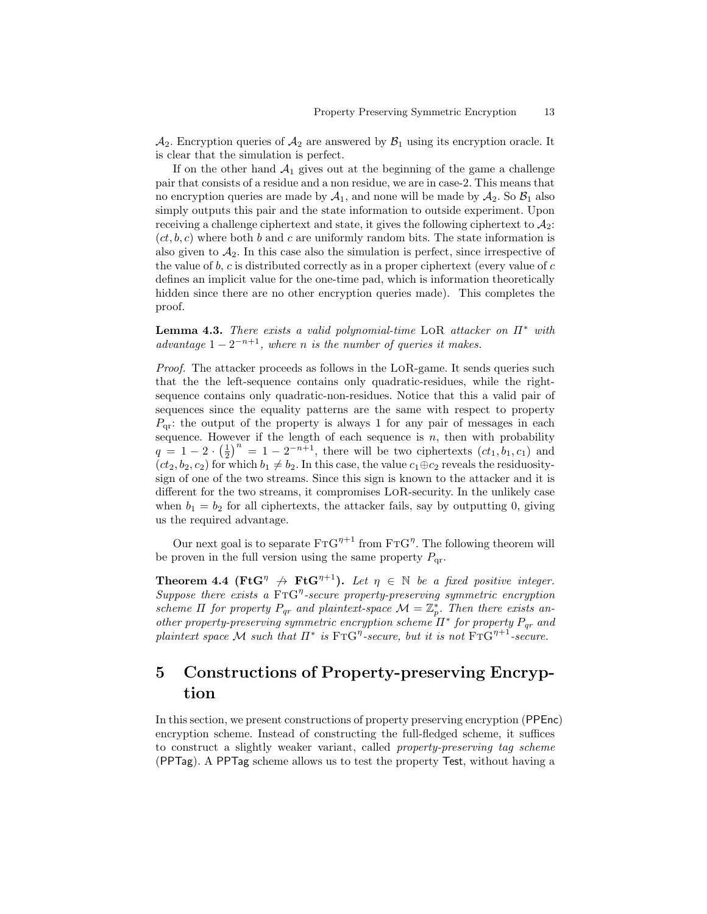$\mathcal{A}_2$ . Encryption queries of  $\mathcal{A}_2$  are answered by  $\mathcal{B}_1$  using its encryption oracle. It is clear that the simulation is perfect.

If on the other hand  $A_1$  gives out at the beginning of the game a challenge pair that consists of a residue and a non residue, we are in case-2. This means that no encryption queries are made by  $A_1$ , and none will be made by  $A_2$ . So  $B_1$  also simply outputs this pair and the state information to outside experiment. Upon receiving a challenge ciphertext and state, it gives the following ciphertext to  $\mathcal{A}_2$ :  $(ct, b, c)$  where both b and c are uniformly random bits. The state information is also given to  $A_2$ . In this case also the simulation is perfect, since irrespective of the value of  $b, c$  is distributed correctly as in a proper ciphertext (every value of  $c$ defines an implicit value for the one-time pad, which is information theoretically hidden since there are no other encryption queries made). This completes the proof.

**Lemma 4.3.** There exists a valid polynomial-time LOR attacker on  $\Pi^*$  with advantage  $1-2^{-n+1}$ , where n is the number of queries it makes.

Proof. The attacker proceeds as follows in the LoR-game. It sends queries such that the the left-sequence contains only quadratic-residues, while the rightsequence contains only quadratic-non-residues. Notice that this a valid pair of sequences since the equality patterns are the same with respect to property  $P_{\text{or}}$ : the output of the property is always 1 for any pair of messages in each sequence. However if the length of each sequence is  $n$ , then with probability  $q = 1 - 2 \cdot \left(\frac{1}{2}\right)^n = 1 - 2^{-n+1}$ , there will be two ciphertexts  $(ct_1, b_1, c_1)$  and  $(ct_2, b_2, c_2)$  for which  $b_1 \neq b_2$ . In this case, the value  $c_1 \oplus c_2$  reveals the residuositysign of one of the two streams. Since this sign is known to the attacker and it is different for the two streams, it compromises LoR-security. In the unlikely case when  $b_1 = b_2$  for all ciphertexts, the attacker fails, say by outputting 0, giving us the required advantage.

Our next goal is to separate  $\text{FTG}^{\eta+1}$  from  $\text{FTG}^{\eta}$ . The following theorem will be proven in the full version using the same property  $P_{qr}$ .

**Theorem 4.4 (FtG**<sup> $\eta$ </sup>  $\leftrightarrow$  **FtG**<sup> $\eta$ +1</sup>). Let  $\eta$   $\in$  N be a fixed positive integer. Suppose there exists a  $\text{FTG}^{\eta}$ -secure property-preserving symmetric encryption scheme  $\Pi$  for property  $P_{qr}$  and plaintext-space  $\mathcal{M} = \mathbb{Z}_p^*$ . Then there exists another property-preserving symmetric encryption scheme  $\Pi^*$  for property  $P_{qr}$  and plaintext space M such that  $\Pi^*$  is  $\text{FTG}^{\eta}$ -secure, but it is not  $\text{FTG}^{\eta+1}$ -secure.

# 5 Constructions of Property-preserving Encryption

In this section, we present constructions of property preserving encryption (PPEnc) encryption scheme. Instead of constructing the full-fledged scheme, it suffices to construct a slightly weaker variant, called property-preserving tag scheme (PPTag). A PPTag scheme allows us to test the property Test, without having a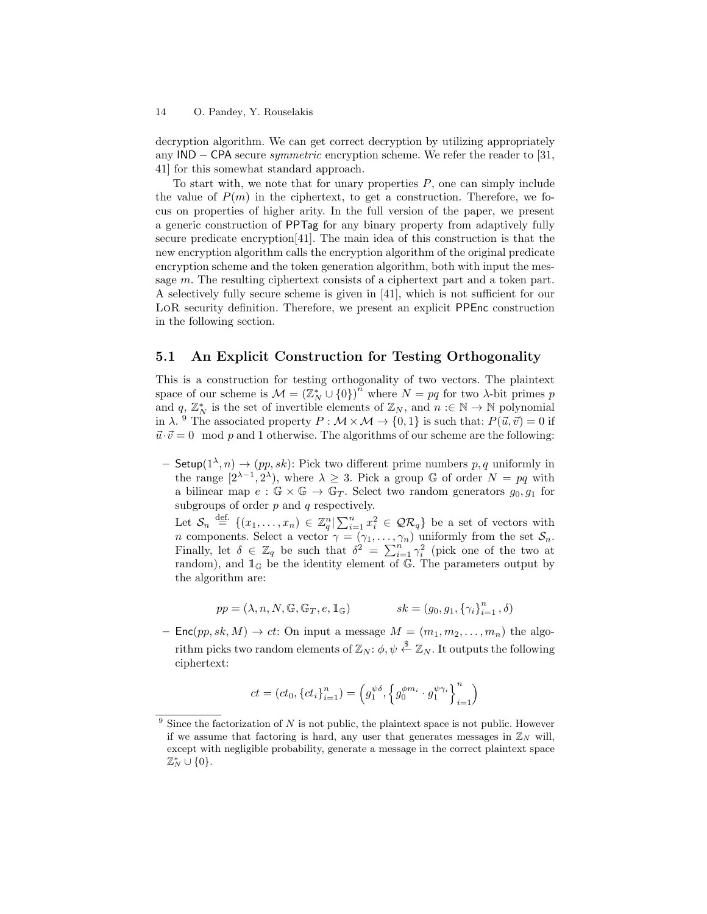decryption algorithm. We can get correct decryption by utilizing appropriately any IND − CPA secure symmetric encryption scheme. We refer the reader to [31, 41] for this somewhat standard approach.

To start with, we note that for unary properties  $P$ , one can simply include the value of  $P(m)$  in the ciphertext, to get a construction. Therefore, we focus on properties of higher arity. In the full version of the paper, we present a generic construction of PPTag for any binary property from adaptively fully secure predicate encryption[41]. The main idea of this construction is that the new encryption algorithm calls the encryption algorithm of the original predicate encryption scheme and the token generation algorithm, both with input the message m. The resulting ciphertext consists of a ciphertext part and a token part. A selectively fully secure scheme is given in [41], which is not sufficient for our LoR security definition. Therefore, we present an explicit PPEnc construction in the following section.

### 5.1 An Explicit Construction for Testing Orthogonality

This is a construction for testing orthogonality of two vectors. The plaintext space of our scheme is  $M = (\mathbb{Z}_N^* \cup \{0\})^n$  where  $N = pq$  for two  $\lambda$ -bit primes p and  $q, \mathbb{Z}_N^*$  is the set of invertible elements of  $\mathbb{Z}_N$ , and  $n : \in \mathbb{N} \to \mathbb{N}$  polynomial in  $\lambda$ . <sup>9</sup> The associated property  $P : \mathcal{M} \times \mathcal{M} \to \{0,1\}$  is such that:  $P(\vec{u}, \vec{v}) = 0$  if  $\vec{u}\cdot\vec{v} = 0 \mod p$  and 1 otherwise. The algorithms of our scheme are the following:

 $-$  Setup( $1^{\lambda}, n$ )  $\rightarrow$  (pp, sk): Pick two different prime numbers p, q uniformly in the range  $[2^{\lambda-1}, 2^{\lambda})$ , where  $\lambda \geq 3$ . Pick a group G of order  $N = pq$  with a bilinear map  $e : \mathbb{G} \times \mathbb{G} \to \mathbb{G}_T$ . Select two random generators  $g_0, g_1$  for subgroups of order  $p$  and  $q$  respectively.

Let  $S_n \stackrel{\text{def.}}{=} \{(x_1,\ldots,x_n) \in \mathbb{Z}_q^n | \sum_{i=1}^n x_i^2 \in \mathcal{QR}_q\}$  be a set of vectors with *n* components. Select a vector  $\gamma = (\gamma_1, \dots, \gamma_n)$  uniformly from the set  $S_n$ . Finally, let  $\delta \in \mathbb{Z}_q$  be such that  $\delta^2 = \sum_{i=1}^n \gamma_i^2$  (pick one of the two at random), and  $\mathbb{1}_{\mathbb{G}}$  be the identity element of  $\mathbb{G}$ . The parameters output by the algorithm are:

$$
pp = (\lambda, n, N, \mathbb G, \mathbb G_T, e, \mathbbm 1_{\mathbb G}) \qquad \qquad sk = (g_0, g_1, \left\{\gamma_i\right\}_{i=1}^n, \delta)
$$

–  $\mathsf{Enc}(pp, sk, M) \to ct$ : On input a message  $M = (m_1, m_2, \ldots, m_n)$  the algorithm picks two random elements of  $\mathbb{Z}_N$ :  $\phi, \psi \overset{\$}{\leftarrow} \mathbb{Z}_N$ . It outputs the following ciphertext:

$$
ct=\left(ct_0,\left\{ct_i\right\}_{i=1}^n\right)=\left(g_1^{\psi\delta},\left\{g_0^{\phi m_i}\cdot g_1^{\psi\gamma_i}\right\}_{i=1}^n\right)
$$

 $9$  Since the factorization of N is not public, the plaintext space is not public. However if we assume that factoring is hard, any user that generates messages in  $\mathbb{Z}_N$  will, except with negligible probability, generate a message in the correct plaintext space  $\mathbb{Z}_N^* \cup \{0\}.$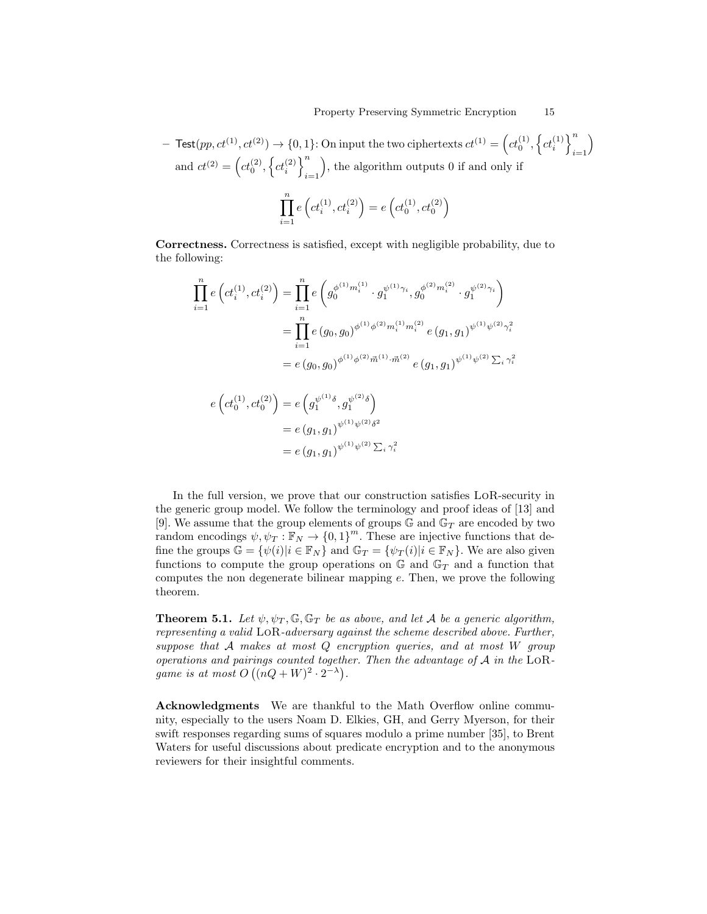$-$  Test $(pp, ct^{(1)}, ct^{(2)}) \rightarrow \{0, 1\}$ : On input the two ciphertexts  $ct^{(1)} = \left(ct_0^{(1)}, \left\{ct_i^{(1)}\right\}\right)$  $i=1$  $\setminus$ and  $ct^{(2)} = \left(ct_0^{(2)}, \left\{ct_i^{(2)}\right\}\right)^n$  $i=1$ , the algorithm outputs 0 if and only if

$$
\prod_{i=1}^{n} e\left(ct_i^{(1)}, ct_i^{(2)}\right) = e\left(ct_0^{(1)}, ct_0^{(2)}\right)
$$

Correctness. Correctness is satisfied, except with negligible probability, due to the following:

$$
\prod_{i=1}^{n} e\left(ct_i^{(1)}, ct_i^{(2)}\right) = \prod_{i=1}^{n} e\left(g_0^{\phi^{(1)}m_i^{(1)}} \cdot g_1^{\psi^{(1)}\gamma_i}, g_0^{\phi^{(2)}m_i^{(2)}} \cdot g_1^{\psi^{(2)}\gamma_i}\right)
$$
\n
$$
= \prod_{i=1}^{n} e\left(g_0, g_0\right)^{\phi^{(1)}\phi^{(2)}m_i^{(1)}m_i^{(2)}} e\left(g_1, g_1\right)^{\psi^{(1)}\psi^{(2)}\gamma_i^2}
$$
\n
$$
= e\left(g_0, g_0\right)^{\phi^{(1)}\phi^{(2)}\vec{m}^{(1)}\cdot \vec{m}^{(2)}} e\left(g_1, g_1\right)^{\psi^{(1)}\psi^{(2)}\sum_i \gamma_i^2}
$$

$$
e\left(ct_0^{(1)}, ct_0^{(2)}\right) = e\left(g_1^{\psi^{(1)}\delta}, g_1^{\psi^{(2)}\delta}\right)
$$
  
=  $e(g_1, g_1)^{\psi^{(1)}\psi^{(2)}\delta^2}$   
=  $e(g_1, g_1)^{\psi^{(1)}\psi^{(2)}\sum_i \gamma_i^2}$ 

In the full version, we prove that our construction satisfies LoR-security in the generic group model. We follow the terminology and proof ideas of [13] and [9]. We assume that the group elements of groups  $\mathbb{G}$  and  $\mathbb{G}_T$  are encoded by two random encodings  $\psi, \psi_T : \mathbb{F}_N \to \{0,1\}^m$ . These are injective functions that define the groups  $\mathbb{G} = {\psi(i)|i \in \mathbb{F}_N}$  and  $\mathbb{G}_T = {\psi_T(i)|i \in \mathbb{F}_N}$ . We are also given functions to compute the group operations on  $\mathbb{G}$  and  $\mathbb{G}_T$  and a function that computes the non degenerate bilinear mapping  $e$ . Then, we prove the following theorem.

**Theorem 5.1.** Let  $\psi, \psi_T, \mathbb{G}, \mathbb{G}_T$  be as above, and let A be a generic algorithm, representing a valid LoR-adversary against the scheme described above. Further, suppose that A makes at most Q encryption queries, and at most W group operations and pairings counted together. Then the advantage of A in the LoRgame is at most  $O((nQ+W)^2 \cdot 2^{-\lambda}).$ 

Acknowledgments We are thankful to the Math Overflow online community, especially to the users Noam D. Elkies, GH, and Gerry Myerson, for their swift responses regarding sums of squares modulo a prime number [35], to Brent Waters for useful discussions about predicate encryption and to the anonymous reviewers for their insightful comments.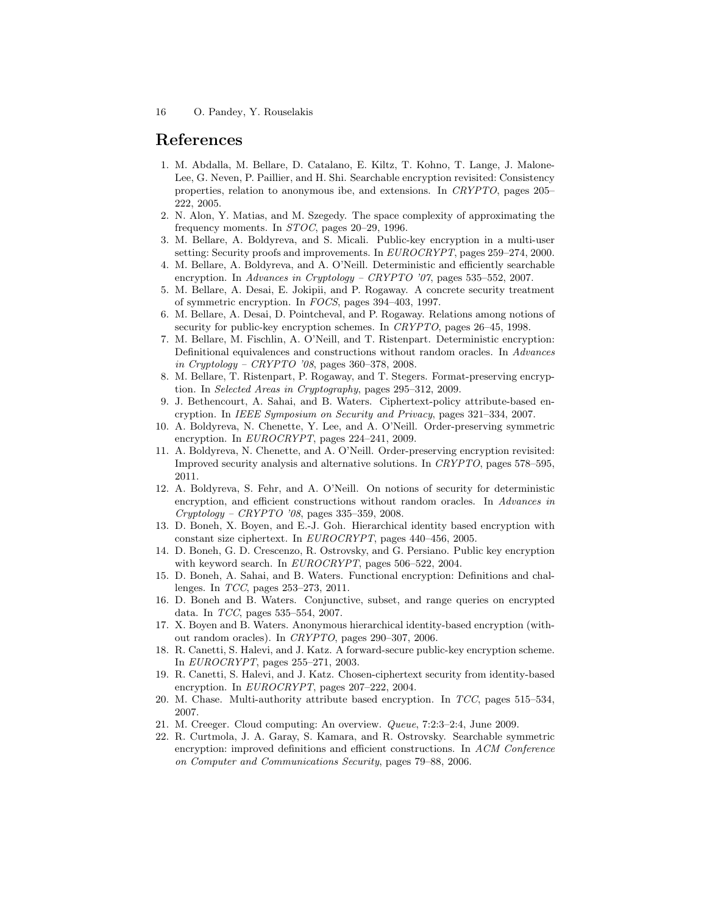## References

- 1. M. Abdalla, M. Bellare, D. Catalano, E. Kiltz, T. Kohno, T. Lange, J. Malone-Lee, G. Neven, P. Paillier, and H. Shi. Searchable encryption revisited: Consistency properties, relation to anonymous ibe, and extensions. In CRYPTO, pages 205– 222, 2005.
- 2. N. Alon, Y. Matias, and M. Szegedy. The space complexity of approximating the frequency moments. In STOC, pages 20–29, 1996.
- 3. M. Bellare, A. Boldyreva, and S. Micali. Public-key encryption in a multi-user setting: Security proofs and improvements. In EUROCRYPT, pages 259–274, 2000.
- 4. M. Bellare, A. Boldyreva, and A. O'Neill. Deterministic and efficiently searchable encryption. In Advances in Cryptology – CRYPTO '07, pages 535–552, 2007.
- 5. M. Bellare, A. Desai, E. Jokipii, and P. Rogaway. A concrete security treatment of symmetric encryption. In FOCS, pages 394–403, 1997.
- 6. M. Bellare, A. Desai, D. Pointcheval, and P. Rogaway. Relations among notions of security for public-key encryption schemes. In CRYPTO, pages 26-45, 1998.
- 7. M. Bellare, M. Fischlin, A. O'Neill, and T. Ristenpart. Deterministic encryption: Definitional equivalences and constructions without random oracles. In Advances in Cryptology – CRYPTO '08, pages 360–378, 2008.
- 8. M. Bellare, T. Ristenpart, P. Rogaway, and T. Stegers. Format-preserving encryption. In Selected Areas in Cryptography, pages 295–312, 2009.
- 9. J. Bethencourt, A. Sahai, and B. Waters. Ciphertext-policy attribute-based encryption. In IEEE Symposium on Security and Privacy, pages 321–334, 2007.
- 10. A. Boldyreva, N. Chenette, Y. Lee, and A. O'Neill. Order-preserving symmetric encryption. In EUROCRYPT, pages 224–241, 2009.
- 11. A. Boldyreva, N. Chenette, and A. O'Neill. Order-preserving encryption revisited: Improved security analysis and alternative solutions. In CRYPTO, pages 578–595, 2011.
- 12. A. Boldyreva, S. Fehr, and A. O'Neill. On notions of security for deterministic encryption, and efficient constructions without random oracles. In Advances in Cryptology – CRYPTO '08, pages 335–359, 2008.
- 13. D. Boneh, X. Boyen, and E.-J. Goh. Hierarchical identity based encryption with constant size ciphertext. In EUROCRYPT, pages 440–456, 2005.
- 14. D. Boneh, G. D. Crescenzo, R. Ostrovsky, and G. Persiano. Public key encryption with keyword search. In EUROCRYPT, pages 506–522, 2004.
- 15. D. Boneh, A. Sahai, and B. Waters. Functional encryption: Definitions and challenges. In TCC, pages 253–273, 2011.
- 16. D. Boneh and B. Waters. Conjunctive, subset, and range queries on encrypted data. In TCC, pages 535–554, 2007.
- 17. X. Boyen and B. Waters. Anonymous hierarchical identity-based encryption (without random oracles). In CRYPTO, pages 290–307, 2006.
- 18. R. Canetti, S. Halevi, and J. Katz. A forward-secure public-key encryption scheme. In EUROCRYPT, pages 255–271, 2003.
- 19. R. Canetti, S. Halevi, and J. Katz. Chosen-ciphertext security from identity-based encryption. In EUROCRYPT, pages 207–222, 2004.
- 20. M. Chase. Multi-authority attribute based encryption. In TCC, pages 515–534, 2007.
- 21. M. Creeger. Cloud computing: An overview. Queue, 7:2:3–2:4, June 2009.
- 22. R. Curtmola, J. A. Garay, S. Kamara, and R. Ostrovsky. Searchable symmetric encryption: improved definitions and efficient constructions. In ACM Conference on Computer and Communications Security, pages 79–88, 2006.